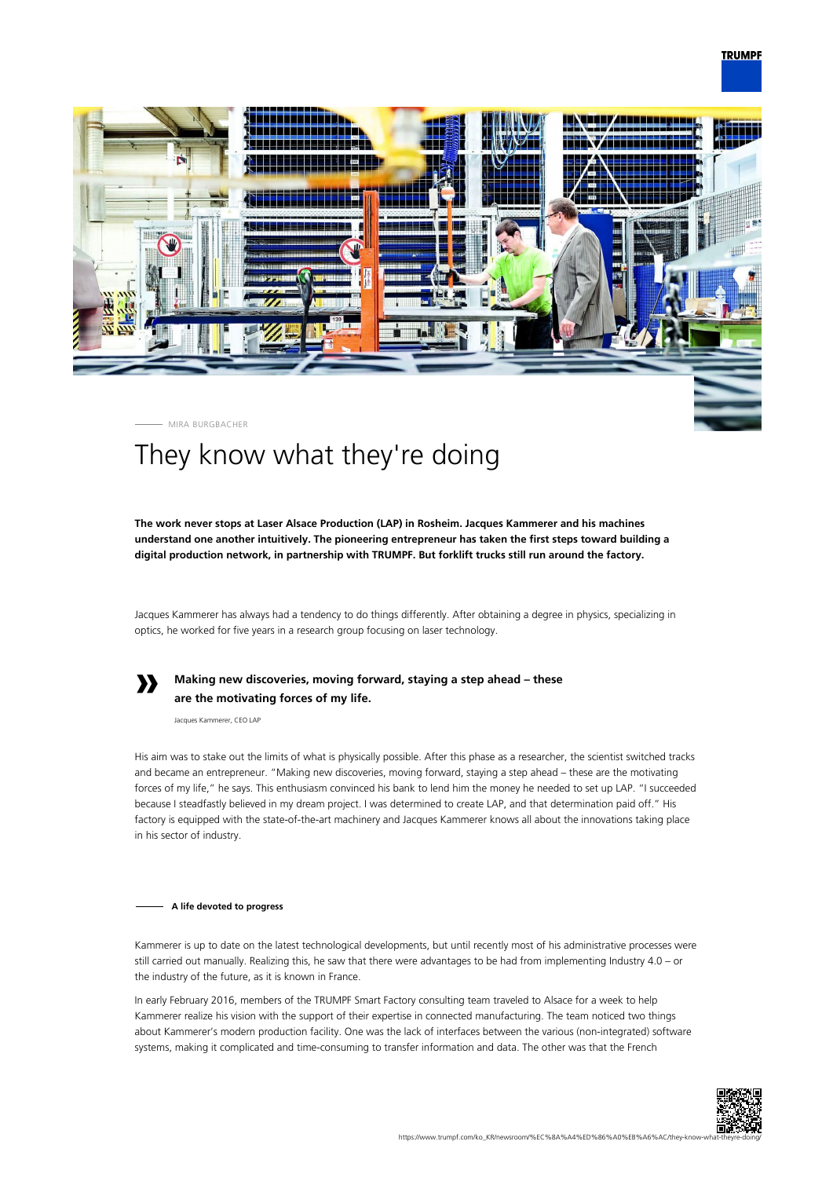

## MIRA BURGBACHER

# They know what they're doing

**The work never stops at Laser Alsace Production (LAP) in Rosheim. Jacques Kammerer and his machines understand one another intuitively. The pioneering entrepreneur has taken the first steps toward building a digital production network, in partnership with TRUMPF. But forklift trucks still run around the factory.**

Jacques Kammerer has always had a tendency to do things differently. After obtaining a degree in physics, specializing in optics, he worked for five years in a research group focusing on laser technology.



## **Making new discoveries, moving forward, staying a step ahead – these are the motivating forces of my life.**

Jacques Kammerer, CEO LAP

His aim was to stake out the limits of what is physically possible. After this phase as a researcher, the scientist switched tracks and became an entrepreneur. "Making new discoveries, moving forward, staying a step ahead – these are the motivating forces of my life," he says. This enthusiasm convinced his bank to lend him the money he needed to set up LAP. "I succeeded because I steadfastly believed in my dream project. I was determined to create LAP, and that determination paid off." His factory is equipped with the state-of-the-art machinery and Jacques Kammerer knows all about the innovations taking place in his sector of industry.

#### **A life devoted to progress**

Kammerer is up to date on the latest technological developments, but until recently most of his administrative processes were still carried out manually. Realizing this, he saw that there were advantages to be had from implementing Industry 4.0 – or the industry of the future, as it is known in France.

In early February 2016, members of the TRUMPF Smart Factory consulting team traveled to Alsace for a week to help Kammerer realize his vision with the support of their expertise in connected manufacturing. The team noticed two things about Kammerer's modern production facility. One was the lack of interfaces between the various (non-integrated) software systems, making it complicated and time-consuming to transfer information and data. The other was that the French

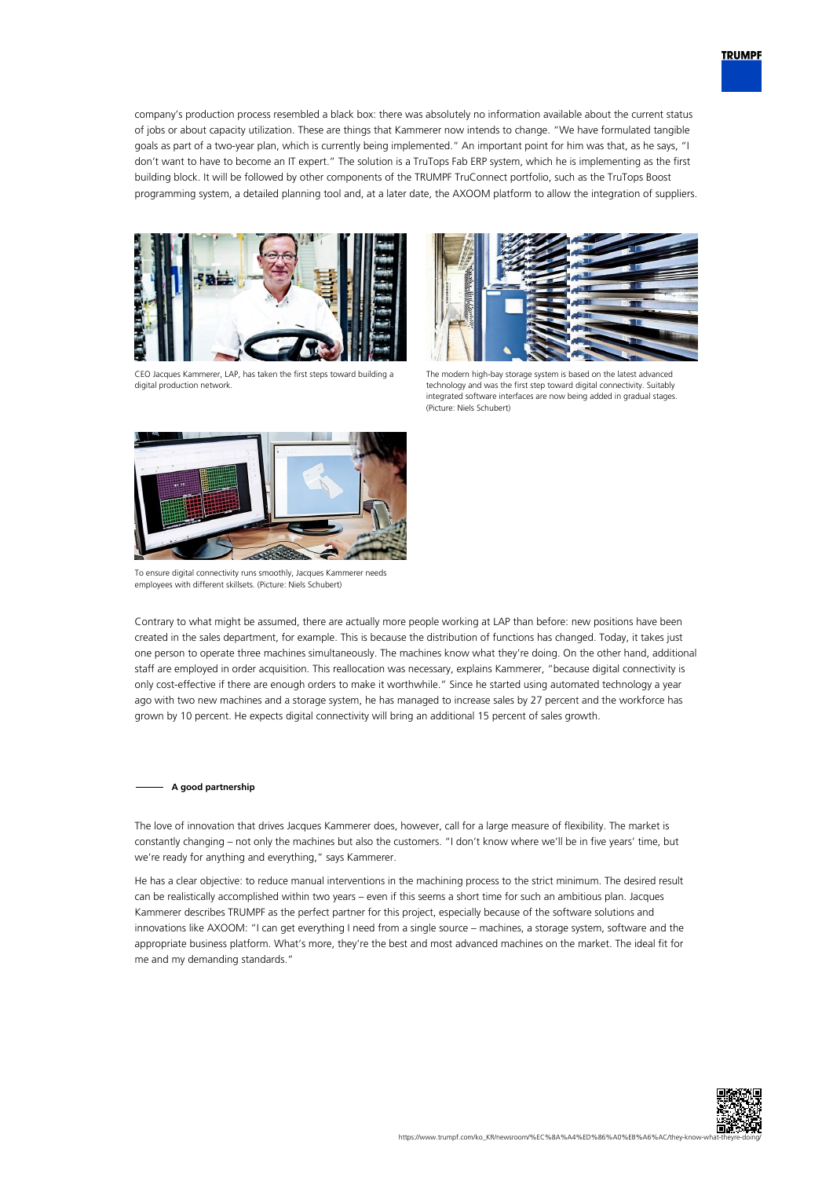company's production process resembled a black box: there was absolutely no information available about the current status of jobs or about capacity utilization. These are things that Kammerer now intends to change. "We have formulated tangible goals as part of a two-year plan, which is currently being implemented." An important point for him was that, as he says, "I don't want to have to become an IT expert." The solution is a TruTops Fab ERP system, which he is implementing as the first building block. It will be followed by other components of the TRUMPF TruConnect portfolio, such as the TruTops Boost programming system, a detailed planning tool and, at a later date, the AXOOM platform to allow the integration of suppliers.



CEO Jacques Kammerer, LAP, has taken the first steps toward building a digital production network.



The modern high-bay storage system is based on the latest advanced technology and was the first step toward digital connectivity. Suitably integrated software interfaces are now being added in gradual stages. (Picture: Niels Schubert)



To ensure digital connectivity runs smoothly, Jacques Kammerer needs employees with different skillsets. (Picture: Niels Schubert)

Contrary to what might be assumed, there are actually more people working at LAP than before: new positions have been created in the sales department, for example. This is because the distribution of functions has changed. Today, it takes just one person to operate three machines simultaneously. The machines know what they're doing. On the other hand, additional staff are employed in order acquisition. This reallocation was necessary, explains Kammerer, "because digital connectivity is only cost-effective if there are enough orders to make it worthwhile." Since he started using automated technology a year ago with two new machines and a storage system, he has managed to increase sales by 27 percent and the workforce has grown by 10 percent. He expects digital connectivity will bring an additional 15 percent of sales growth.

### **A good partnership**

The love of innovation that drives Jacques Kammerer does, however, call for a large measure of flexibility. The market is constantly changing – not only the machines but also the customers. "I don't know where we'll be in five years' time, but we're ready for anything and everything," says Kammerer.

He has a clear objective: to reduce manual interventions in the machining process to the strict minimum. The desired result can be realistically accomplished within two years – even if this seems a short time for such an ambitious plan. Jacques Kammerer describes TRUMPF as the perfect partner for this project, especially because of the software solutions and innovations like AXOOM: "I can get everything I need from a single source – machines, a storage system, software and the appropriate business platform. What's more, they're the best and most advanced machines on the market. The ideal fit for me and my demanding standards."